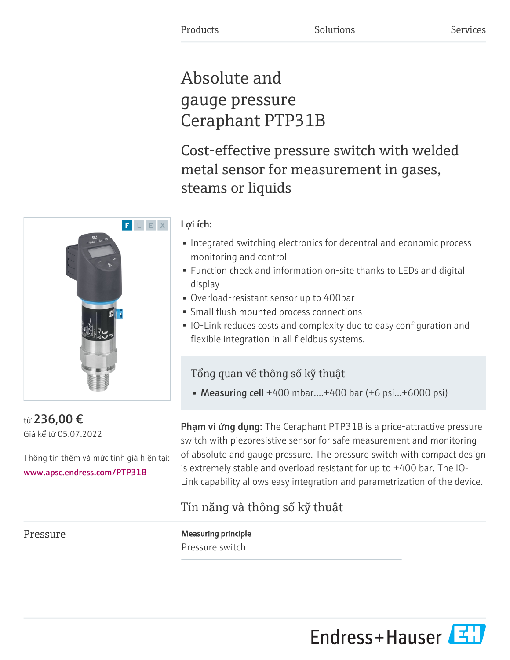# Absolute and gauge pressure Ceraphant PTP31B

Cost-effective pressure switch with welded metal sensor for measurement in gases, steams or liquids

# Lợi ích:

- Integrated switching electronics for decentral and economic process monitoring and control
- Function check and information on-site thanks to LEDs and digital display
- Overload-resistant sensor up to 400bar
- Small flush mounted process connections
- IO-Link reduces costs and complexity due to easy configuration and flexible integration in all fieldbus systems.

# Tổng quan về thông số kỹ thuật

• Measuring cell +400 mbar....+400 bar (+6 psi...+6000 psi)

Phạm vi ứng dụng: The Ceraphant PTP31B is a price-attractive pressure switch with piezoresistive sensor for safe measurement and monitoring of absolute and gauge pressure. The pressure switch with compact design is extremely stable and overload resistant for up to +400 bar. The IO-Link capability allows easy integration and parametrization of the device.

# Tín năng và thông số kỹ thuật

Pressure Measuring principle Pressure switch



từ 236,00 € Giá kể từ 05.07.2022

Thông tin thêm và mức tính giá hiện tại: [www.apsc.endress.com/PTP31B](https://www.apsc.endress.com/PTP31B)

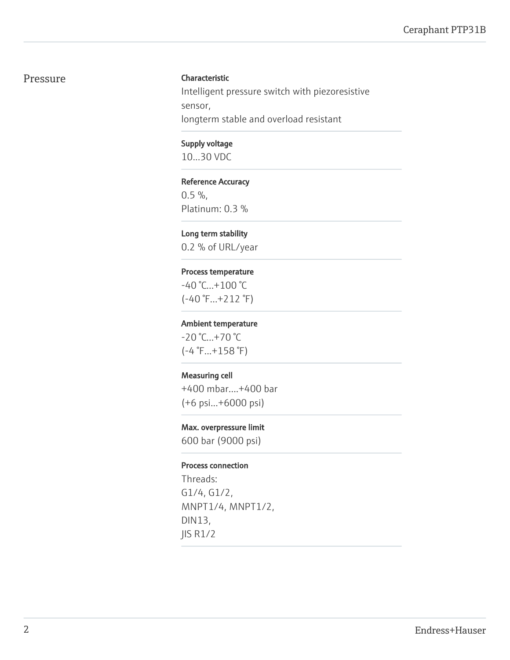#### Pressure Characteristic

Intelligent pressure switch with piezoresistive sensor, longterm stable and overload resistant

#### Supply voltage

10...30 VDC

#### Reference Accuracy

 $0.5 \%$ , Platinum: 0.3 %

#### Long term stability

0.2 % of URL/year

#### Process temperature

 $-40 °C...+100 °C$ (-40 °F...+212 °F)

#### Ambient temperature

-20 °C...+70 °C (-4 °F...+158 °F)

#### Measuring cell

+400 mbar....+400 bar (+6 psi...+6000 psi)

#### Max. overpressure limit

600 bar (9000 psi)

#### Process connection

Threads: G1/4, G1/2, MNPT1/4, MNPT1/2, DIN13, JIS R1/2